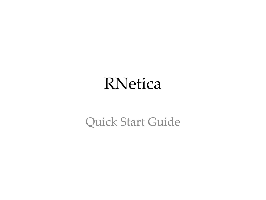#### RNetica

Quick Start Guide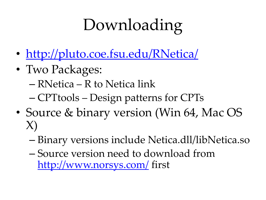# Downloading

- <http://pluto.coe.fsu.edu/RNetica/>
- Two Packages:
	- RNetica R to Netica link
	- CPTtools Design patterns for CPTs
- Source & binary version (Win 64, Mac OS X)
	- Binary versions include Netica.dll/libNetica.so
	- Source version need to download from <http://www.norsys.com/> first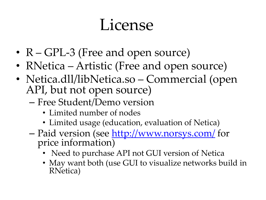#### License

- R GPL-3 (Free and open source)
- RNetica Artistic (Free and open source)
- Netica.dll/libNetica.so Commercial (open API, but not open source)
	- Free Student/Demo version
		- Limited number of nodes
		- Limited usage (education, evaluation of Netica)
	- Paid version (see<http://www.norsys.com/> for price information)
		- Need to purchase API not GUI version of Netica
		- May want both (use GUI to visualize networks build in RNetica)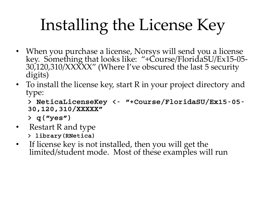# Installing the License Key

- When you purchase a license, Norsys will send you a license key. Something that looks like: "+Course/FloridaSU/Ex15-05- 30,120,310/XXXXX" (Where I've obscured the last 5 security digits)
- To install the license key, start R in your project directory and type:

```
> NeticaLicenseKey <- "+Course/FloridaSU/Ex15-05-
30,120,310/XXXXX"
```
> q("yes")

- Restart R and type > library(RNetica)
- If license key is not installed, then you will get the limited/student mode. Most of these examples will run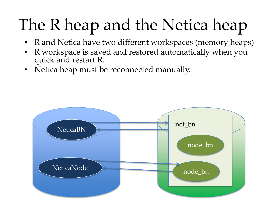# The R heap and the Netica heap

- R and Netica have two different workspaces (memory heaps)
- R workspace is saved and restored automatically when you quick and restart R.
- Netica heap must be reconnected manually.

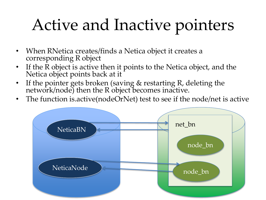## Active and Inactive pointers

- When RNetica creates/finds a Netica object it creates a corresponding R object
- If the R object is active then it points to the Netica object, and the Netica object points back at it
- If the pointer gets broken (saving & restarting R, deleting the network/node) then the R object becomes inactive.
- The function is.active(nodeOrNet) test to see if the node/net is active

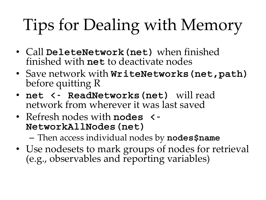# Tips for Dealing with Memory

- Call DeleteNetwork (net) when finished finished with net to deactivate nodes
- Save network with  $W$ riteNetworks (net, path) before quitting R
- net <- ReadNetworks (net) will read network from wherever it was last saved
- Refresh nodes with **nodes**  $\leq$ NetworkAllNodes(net)

– Then access individual nodes by nodes\$name

• Use nodesets to mark groups of nodes for retrieval (e.g., observables and reporting variables)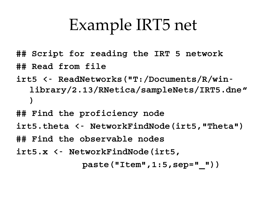## Example IRT5 net

- ## Script for reading the IRT 5 network ## Read from file
- irt5 <- ReadNetworks("T:/Documents/R/winlibrary/2.13/RNetica/sampleNets/IRT5.dne" )
- ## Find the proficiency node
- irt5.theta <- NetworkFindNode(irt5,"Theta")
- ## Find the observable nodes
- irt5.x <- NetworkFindNode(irt5,

 $paste("Item", 1:5, sep = "")$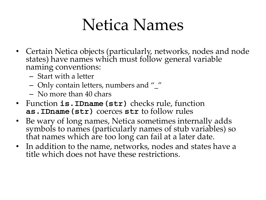#### Netica Names

- Certain Netica objects (particularly, networks, nodes and node states) have names which must follow general variable naming conventions:
	- Start with a letter
	- Only contain letters, numbers and "\_"
	- No more than 40 chars
- Function is.IDname(str) checks rule, function as.IDname(str) coerces str to follow rules
- Be wary of long names, Netica sometimes internally adds symbols to names (particularly names of stub variables) so that names which are too long can fail at a later date.
- In addition to the name, networks, nodes and states have a title which does not have these restrictions.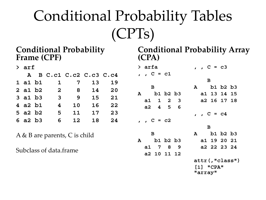#### Conditional Probability Tables (CPTs)

#### **Conditional Probability Frame (CPF)**

| $>$ arf |  |              |    |                       |    |  |  |  |  |
|---------|--|--------------|----|-----------------------|----|--|--|--|--|
| A       |  |              |    | B C.c1 C.c2 C.c3 C.c4 |    |  |  |  |  |
| 1 a1 b1 |  | $\mathbf{1}$ | 7  | 13 <sub>1</sub>       | 19 |  |  |  |  |
| 2 a1 b2 |  | $\mathbf{2}$ | 8  | 14                    | 20 |  |  |  |  |
| 3 a1 b3 |  | 3            | 9  | 15                    | 21 |  |  |  |  |
| 4 a2 b1 |  | 4            | 10 | 16                    | 22 |  |  |  |  |
| 5 a2 b2 |  | 5            | 11 | 17                    | 23 |  |  |  |  |
| 6 a2 b3 |  | 6            | 12 | 18                    | 24 |  |  |  |  |

A & B are parents, C is child

Subclass of data.frame

**Conditional Probability Array (CPA)**

|   | > arfa       |            |     |              | , , $C = c3$   |  |  |  |  |
|---|--------------|------------|-----|--------------|----------------|--|--|--|--|
|   | , , $C = c1$ |            |     |              |                |  |  |  |  |
|   |              |            |     |              | B              |  |  |  |  |
|   | B            |            |     | ${\bf A}$    | b1 b2 b3       |  |  |  |  |
|   | A b1 b2 b3   |            |     |              | a1 13 14 15    |  |  |  |  |
|   | a1 1 2 3     |            |     |              | a2 16 17 18    |  |  |  |  |
|   | a2 4 5 6     |            |     |              |                |  |  |  |  |
|   |              |            |     | , , $C = c4$ |                |  |  |  |  |
|   | , , $C = c2$ |            |     |              |                |  |  |  |  |
|   |              |            |     |              | B              |  |  |  |  |
|   | B            | A b1 b2 b3 |     |              |                |  |  |  |  |
| A | b1 b2 b3     |            |     |              | a1 19 20 21    |  |  |  |  |
|   | a1 7 8       |            | - 9 |              | a2 22 23 24    |  |  |  |  |
|   | a2 10 11 12  |            |     |              |                |  |  |  |  |
|   |              |            |     |              | attr(,"class") |  |  |  |  |
|   |              |            |     |              | $[1]$ "CPA"    |  |  |  |  |
|   |              |            |     |              | "array"        |  |  |  |  |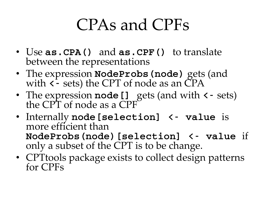#### CPAs and CPFs

- Use **as. CPA()** and **as. CPF()** to translate between the representations
- The expression **NodeProbs (node)** gets (and with  $\zeta$ - sets) the CPT of node as an CPA
- The expression  $\text{node}[]$  gets (and with  $\texttt{<}$  sets) the CPT of node as a CPF
- Internally node [selection] <- value is more efficient than NodeProbs(node)[selection] <- value if only a subset of the CPT is to be change.
- CPT tools package exists to collect design patterns for CPFs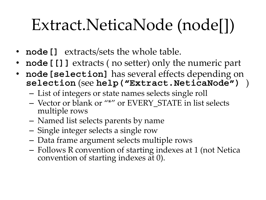## Extract.NeticaNode (node[])

- **node []** extracts/sets the whole table.
- node[[]] extracts ( no setter) only the numeric part
- node [selection] has several effects depending on selection (see help ("Extract.NeticaNode") )
	- List of integers or state names selects single roll
	- Vector or blank or "\*" or EVERY\_STATE in list selects multiple rows
	- Named list selects parents by name
	- Single integer selects a single row
	- Data frame argument selects multiple rows
	- Follows R convention of starting indexes at 1 (not Netica convention of starting indexes at 0).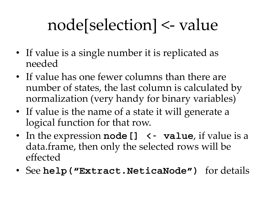## node[selection] <- value

- If value is a single number it is replicated as needed
- If value has one fewer columns than there are number of states, the last column is calculated by normalization (very handy for binary variables)
- If value is the name of a state it will generate a logical function for that row.
- In the expression node  $[$ ]  $\prec$  value, if value is a data.frame, then only the selected rows will be effected
- See help ("Extract.NeticaNode") for details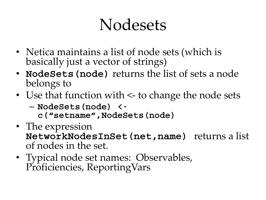#### Nodesets

- Netica maintains a list of node sets (which is basically just a vector of strings)
- NodeSets (node) returns the list of sets a node belongs to
- Use that function with <- to change the node sets
	- NodeSets(node) <
		- c("setname",NodeSets(node)
- The expression NetworkNodesInSet(net,name) returns a list of nodes in the set.
- Typical node set names: Observables, Proficiencies, ReportingVars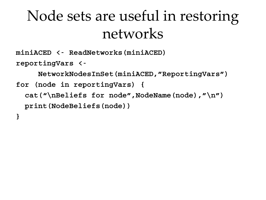#### Node sets are useful in restoring networks

miniACED <- ReadNetworks(miniACED) reportingVars <-

NetworkNodesInSet(miniACED,"ReportingVars") for (node in reportingVars) { cat("\nBeliefs for node",NodeName(node),"\n") print(NodeBeliefs(node)) }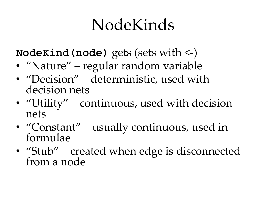#### NodeKinds

NodeKind (node) gets (sets with  $\le$ )

- "Nature" regular random variable
- "Decision" deterministic, used with decision nets
- "Utility" continuous, used with decision nets
- "Constant" usually continuous, used in formulae
- "Stub" created when edge is disconnected from a node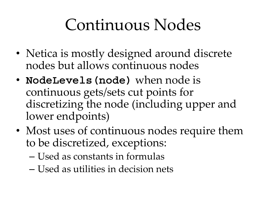#### Continuous Nodes

- Netica is mostly designed around discrete nodes but allows continuous nodes
- NodeLevels (node) when node is continuous gets/sets cut points for discretizing the node (including upper and lower endpoints)
- Most uses of continuous nodes require them to be discretized, exceptions:
	- Used as constants in formulas
	- Used as utilities in decision nets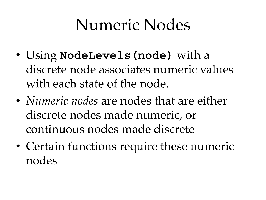#### Numeric Nodes

- Using NodeLevels (node) with a discrete node associates numeric values with each state of the node.
- *Numeric nodes* are nodes that are either discrete nodes made numeric, or continuous nodes made discrete
- Certain functions require these numeric nodes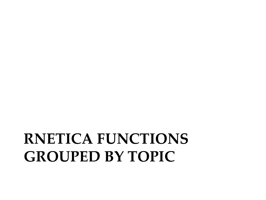#### **RNETICA FUNCTIONS GROUPED BY TOPIC**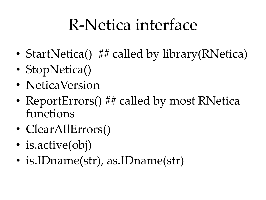#### R-Netica interface

- StartNetica() ## called by library(RNetica)
- StopNetica()
- NeticaVersion
- ReportErrors() ## called by most RNetica functions
- ClearAllErrors()
- is.active(obj)
- is.IDname(str), as.IDname(str)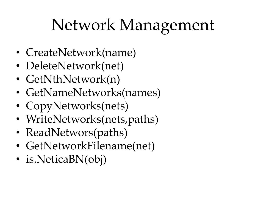## Network Management

- CreateNetwork(name)
- DeleteNetwork(net)
- GetNthNetwork(n)
- GetNameNetworks(names)
- CopyNetworks(nets)
- WriteNetworks(nets, paths)
- ReadNetwors(paths)
- GetNetworkFilename(net)
- is. Netica BN(obj)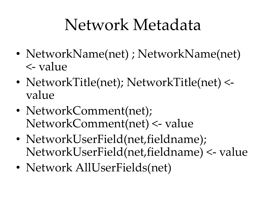#### Network Metadata

- NetworkName(net) ; NetworkName(net) <- value
- NetworkTitle(net); NetworkTitle(net) <value
- NetworkComment(net); NetworkComment(net) <- value
- NetworkUserField(net,fieldname); NetworkUserField(net,fieldname) <- value
- Network AllUserFields(net)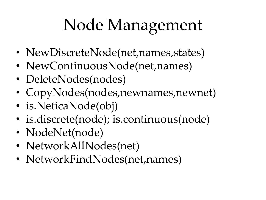## Node Management

- NewDiscreteNode(net, names, states)
- NewContinuousNode(net, names)
- DeleteNodes(nodes)
- CopyNodes(nodes,newnames,newnet)
- is.NeticaNode(obj)
- is.discrete(node); is.continuous(node)
- NodeNet(node)
- NetworkAllNodes(net)
- NetworkFindNodes(net,names)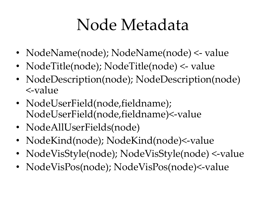#### Node Metadata

- NodeName(node); NodeName(node) <- value
- NodeTitle(node); NodeTitle(node) <- value
- NodeDescription(node); NodeDescription(node) <-value
- NodeUserField(node,fieldname); NodeUserField(node,fieldname)<-value
- NodeAllUserFields(node)
- NodeKind(node); NodeKind(node)<-value
- NodeVisStyle(node); NodeVisStyle(node) <-value
- NodeVisPos(node); NodeVisPos(node)<-value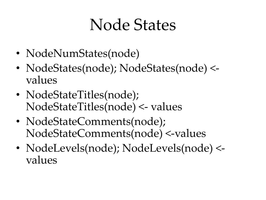#### Node States

- NodeNumStates(node)
- NodeStates(node); NodeStates(node) <values
- NodeStateTitles(node); NodeStateTitles(node) <- values
- NodeStateComments(node); NodeStateComments(node) <-values
- NodeLevels(node); NodeLevels(node) <values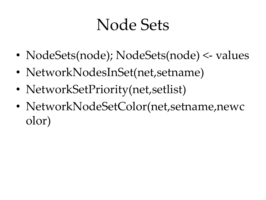#### Node Sets

- NodeSets(node); NodeSets(node) <- values
- NetworkNodesInSet(net, setname)
- NetworkSetPriority(net, setlist)
- NetworkNodeSetColor(net,setname,newc olor)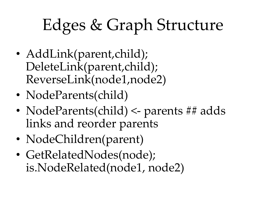# Edges & Graph Structure

- AddLink(parent,child); DeleteLink(parent,child); ReverseLink(node1,node2)
- NodeParents(child)
- NodeParents(child) <- parents ## adds links and reorder parents
- NodeChildren(parent)
- GetRelatedNodes(node); is.NodeRelated(node1, node2)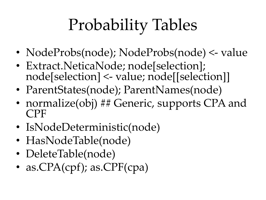# Probability Tables

- NodeProbs(node); NodeProbs(node) <- value
- Extract. Netica Node; node [selection]; node[selection] <- value; node[[selection]]
- ParentStates(node); ParentNames(node)
- normalize(obj) ## Generic, supports CPA and CPF
- IsNodeDeterministic(node)
- HasNodeTable(node)
- DeleteTable(node)
- as.CPA(cpf); as.CPF(cpa)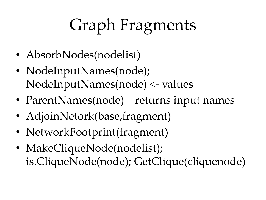# Graph Fragments

- AbsorbNodes(nodelist)
- NodeInputNames(node); NodeInputNames(node) <- values
- ParentNames(node) returns input names
- AdjoinNetork(base,fragment)
- NetworkFootprint(fragment)
- MakeCliqueNode(nodelist); is.CliqueNode(node); GetClique(cliquenode)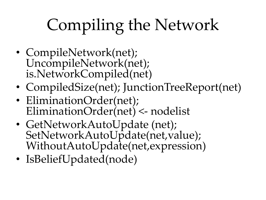# Compiling the Network

- CompileNetwork(net); UncompileNetwork(net); is.NetworkCompiled(net)
- CompiledSize(net); JunctionTreeReport(net)
- EliminationOrder(net); EliminationOrder(net) <- nodelist
- GetNetworkAutoUpdate (net); SetNetworkAutoUpdate(net,value); WithoutAutoUpdate(net,expression)
- IsBeliefUpdated(node)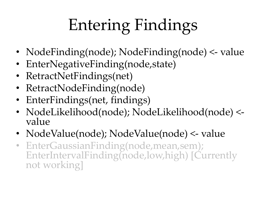# Entering Findings

- NodeFinding(node); NodeFinding(node) <- value
- EnterNegativeFinding(node,state)
- RetractNetFindings(net)
- RetractNodeFinding(node)
- EnterFindings(net, findings)
- NodeLikelihood(node); NodeLikelihood(node) <value
- NodeValue(node); NodeValue(node) <- value
- EnterGaussianFinding(node,mean,sem); EnterIntervalFinding(node,low,high) [Currently not working]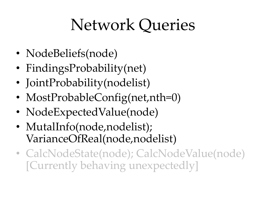## Network Queries

- NodeBeliefs(node)
- FindingsProbability(net)
- JointProbability(nodelist)
- MostProbableConfig(net,nth=0)
- NodeExpectedValue(node)
- MutalInfo(node,nodelist); VarianceOfReal(node,nodelist)
- CalcNodeState(node); CalcNodeValue(node) [Currently behaving unexpectedly]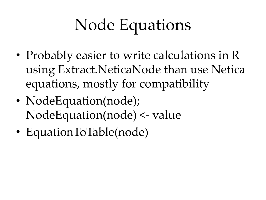# Node Equations

- Probably easier to write calculations in R using Extract.NeticaNode than use Netica equations, mostly for compatibility
- NodeEquation(node); NodeEquation(node) <- value
- EquationToTable(node)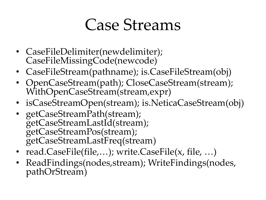#### Case Streams

- CaseFileDelimiter(newdelimiter); CaseFileMissingCode(newcode)
- CaseFileStream(pathname); is.CaseFileStream(obj)
- OpenCaseStream(path); CloseCaseStream(stream); WithOpenCaseStream(stream,expr)
- isCaseStreamOpen(stream); is.NeticaCaseStream(obj)
- getCaseStreamPath(stream); getCaseStreamLastId(stream); getCaseStreamPos(stream); getCaseStreamLastFreq(stream)
- read.CaseFile(file,...); write.CaseFile(x, file, ...)
- ReadFindings(nodes,stream); WriteFindings(nodes, pathOrStream)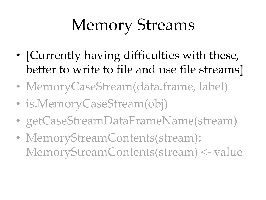# Memory Streams

- [Currently having difficulties with these, better to write to file and use file streams]
- MemoryCaseStream(data.frame, label)
- is.MemoryCaseStream(obj)
- getCaseStreamDataFrameName(stream)
- MemoryStreamContents(stream); MemoryStreamContents(stream) <- value